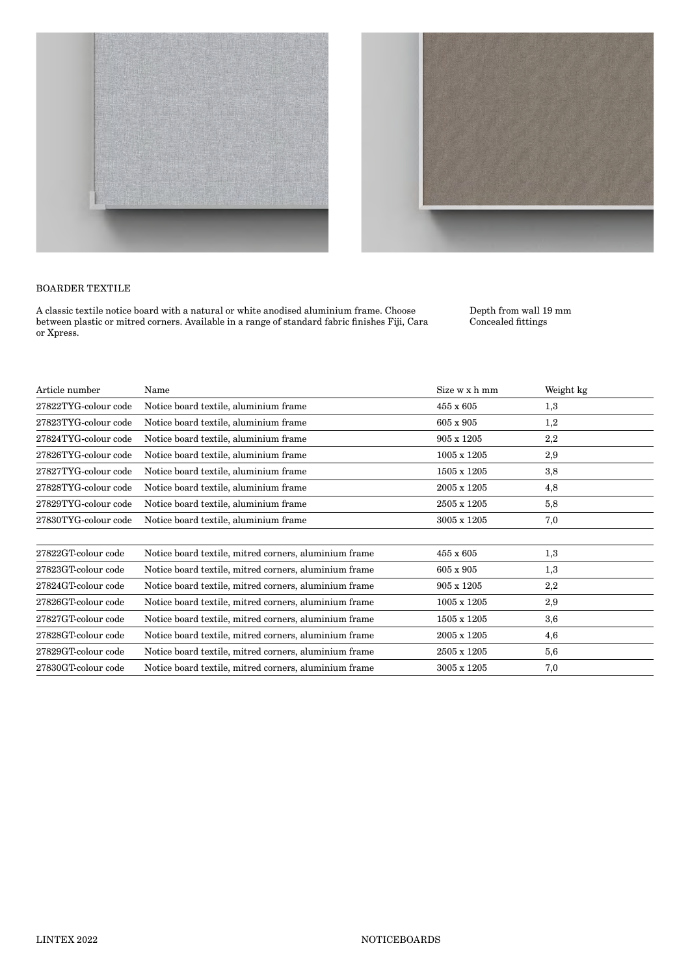



## BOARDER TEXTILE

A classic textile notice board with a natural or white anodised aluminium frame. Choose between plastic or mitred corners. Available in a range of standard fabric finishes Fiji, Cara or Xpress.

Depth from wall 19 mm Concealed fittings

| Article number       | Name                                                  | Size w x h mm    | Weight kg |  |
|----------------------|-------------------------------------------------------|------------------|-----------|--|
| 27822TYG-colour code | Notice board textile, aluminium frame                 | 455 x 605        | 1,3       |  |
| 27823TYG-colour code | Notice board textile, aluminium frame                 | 605 x 905        | 1,2       |  |
| 27824TYG-colour code | Notice board textile, aluminium frame                 | 905 x 1205       | 2,2       |  |
| 27826TYG-colour code | Notice board textile, aluminium frame                 | 1005 x 1205      | 2,9       |  |
| 27827TYG-colour code | Notice board textile, aluminium frame                 | 1505 x 1205      | 3,8       |  |
| 27828TYG-colour code | Notice board textile, aluminium frame                 | 2005 x 1205      | 4,8       |  |
| 27829TYG-colour code | Notice board textile, aluminium frame                 | 2505 x 1205      | 5,8       |  |
| 27830TYG-colour code | Notice board textile, aluminium frame                 | 3005 x 1205      | 7,0       |  |
| 27822GT-colour code  | Notice board textile, mitred corners, aluminium frame | $455 \times 605$ | 1,3       |  |
| 27823GT-colour code  | Notice board textile, mitred corners, aluminium frame | 605 x 905        | 1,3       |  |
| 27824GT-colour code  | Notice board textile, mitred corners, aluminium frame | 905 x 1205       | 2,2       |  |
| 27826GT-colour code  | Notice board textile, mitred corners, aluminium frame | 1005 x 1205      | 2,9       |  |
| 27827GT-colour code  | Notice board textile, mitred corners, aluminium frame | 1505 x 1205      | 3,6       |  |
| 27828GT-colour code  | Notice board textile, mitred corners, aluminium frame | 2005 x 1205      | 4,6       |  |
| 27829GT-colour code  | Notice board textile, mitred corners, aluminium frame | 2505 x 1205      | 5,6       |  |
| 27830GT-colour code  | Notice board textile, mitred corners, aluminium frame | 3005 x 1205      | 7,0       |  |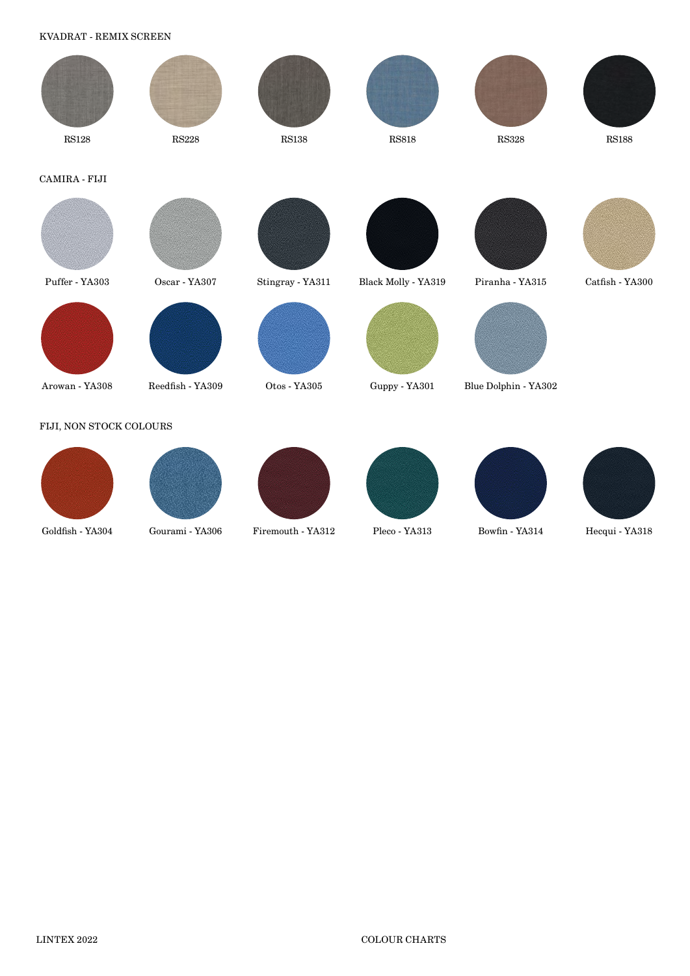KVADRAT - REMIX SCREEN



Goldfish - YA304 Gourami - YA306 Firemouth - YA312 Pleco - YA313 Bowfin - YA314 Hecqui - YA318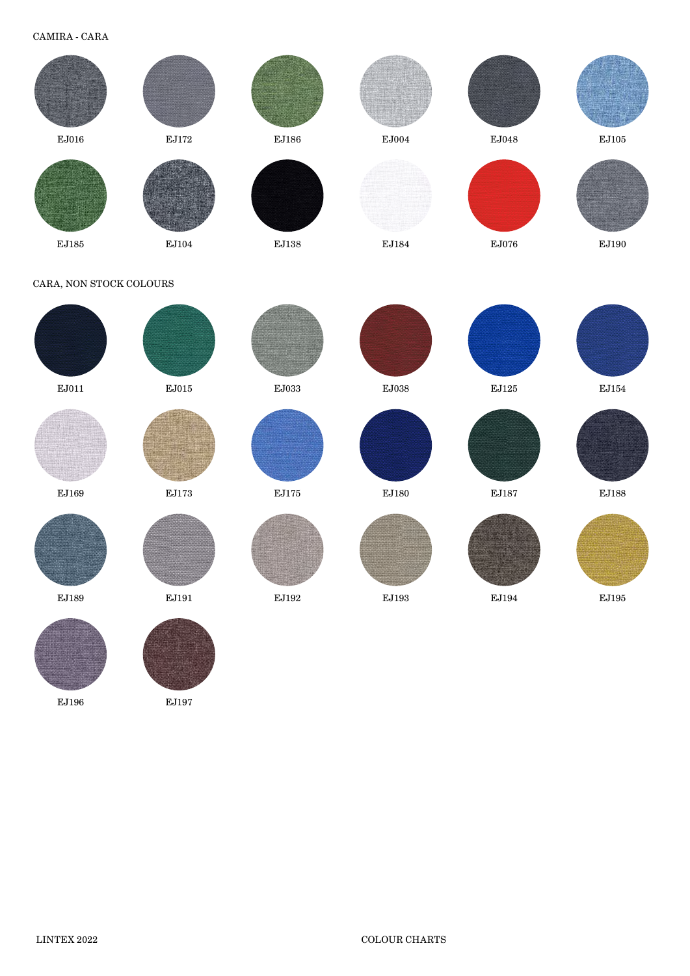CAMIRA - CARA



EJ196 EJ197